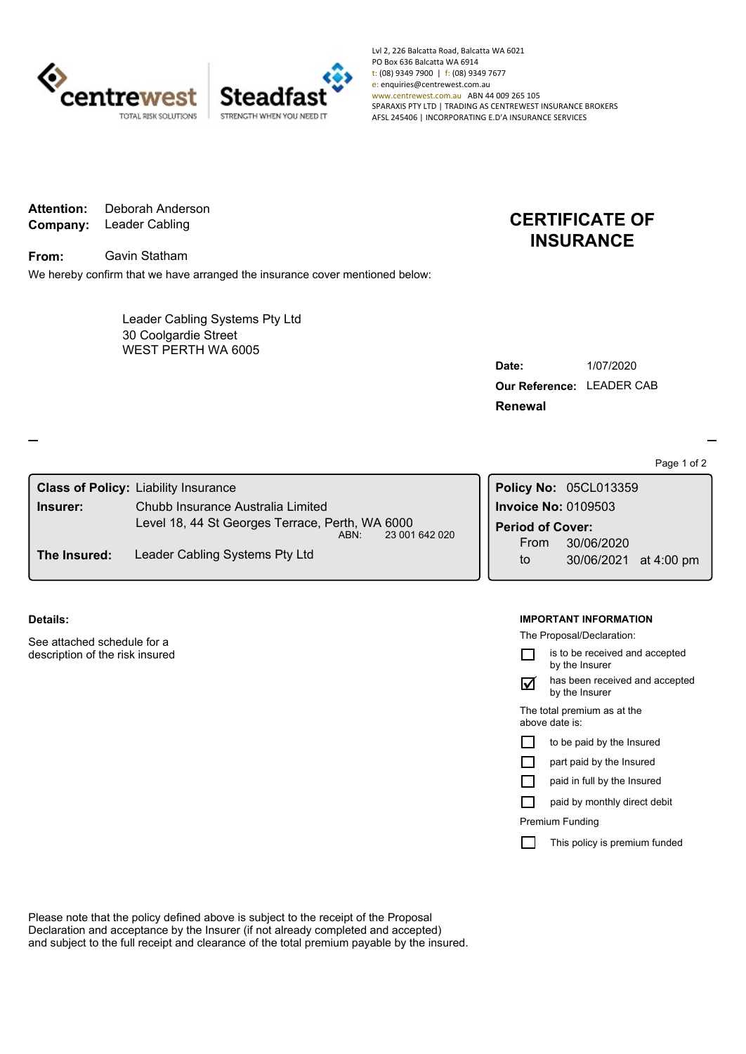

Lvl 2, 226 Balcatta Road, Balcatta WA 6021 PO Box 636 Balcatta WA 6914 t: (08) 9349 7900 | f: (08) 9349 7677 e: enquiries@centrewest.com.au www.centrewest.com.au ABN 44 009 265 105 SPARAXIS PTY LTD | TRADING AS CENTREWEST INSURANCE BROKERS AFSL 245406 | INCORPORATING E.D'A INSURANCE SERVICES

**Company:** Leader Cabling **Attention:** Deborah Anderson

**From:** Gavin Statham

We hereby confirm that we have arranged the insurance cover mentioned below:

WEST PERTH WA 6005 Leader Cabling Systems Pty Ltd 30 Coolgardie Street

## **CERTIFICATE OF INSURANCE**

| Date:                            | 1/07/2020 |
|----------------------------------|-----------|
| <b>Our Reference: LEADER CAB</b> |           |
| Renewal                          |           |

Page 1 of 2

| Chubb Insurance Australia Limited              |                                                                                                                          |                         |                       |                                              |
|------------------------------------------------|--------------------------------------------------------------------------------------------------------------------------|-------------------------|-----------------------|----------------------------------------------|
|                                                |                                                                                                                          | <b>Period of Cover:</b> |                       |                                              |
| Leader Cabling Systems Pty Ltd<br>The Insured: |                                                                                                                          | From                    | 30/06/2020            |                                              |
|                                                |                                                                                                                          | to                      | 30/06/2021 at 4:00 pm |                                              |
|                                                | <b>Class of Policy: Liability Insurance</b><br>Level 18, 44 St Georges Terrace, Perth, WA 6000<br>23 001 642 020<br>ABN: |                         |                       | Policy No: 05CL013359<br>Invoice No: 0109503 |

**Details:**

See attached schedule for a description of the risk insured

## **IMPORTANT INFORMATION**

The Proposal/Declaration:

|                                               | is to be received and accepted<br>by the Insurer |  |  |
|-----------------------------------------------|--------------------------------------------------|--|--|
|                                               | has been received and accepted<br>by the Insurer |  |  |
| The total premium as at the<br>above date is: |                                                  |  |  |
|                                               | to be paid by the Insured                        |  |  |
|                                               | part paid by the Insured                         |  |  |
|                                               | paid in full by the Insured                      |  |  |
|                                               | paid by monthly direct debit                     |  |  |
| Premium Funding                               |                                                  |  |  |
|                                               | This policy is premium funded                    |  |  |
|                                               |                                                  |  |  |

Please note that the policy defined above is subject to the receipt of the Proposal Declaration and acceptance by the Insurer (if not already completed and accepted) and subject to the full receipt and clearance of the total premium payable by the insured.